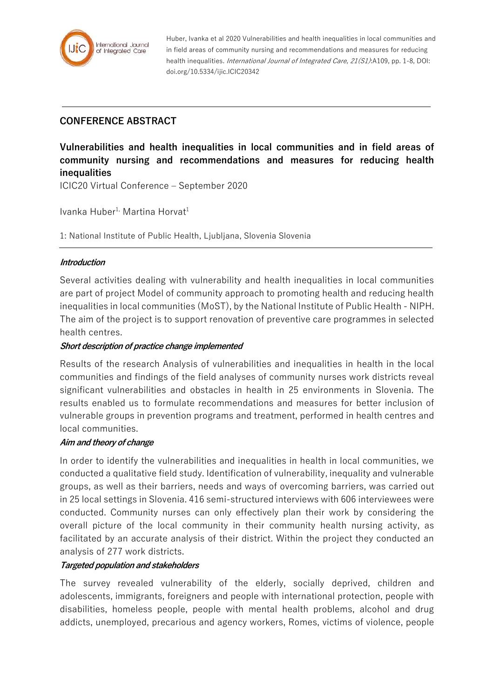

Huber, Ivanka et al 2020 Vulnerabilities and health inequalities in local communities and in field areas of community nursing and recommendations and measures for reducing health inequalities. *International Journal of Integrated Care, 21(S1)*:A109, pp. 1-8, DOI: doi.org/10.5334/ijic.ICIC20342

# **CONFERENCE ABSTRACT**

**Vulnerabilities and health inequalities in local communities and in field areas of community nursing and recommendations and measures for reducing health inequalities**

ICIC20 Virtual Conference – September 2020

Ivanka Huber<sup>1,</sup> Martina Horvat<sup>1</sup>

1: National Institute of Public Health, Ljubljana, Slovenia Slovenia

### **Introduction**

Several activities dealing with vulnerability and health inequalities in local communities are part of project Model of community approach to promoting health and reducing health inequalities in local communities (MoST), by the National Institute of Public Health - NIPH. The aim of the project is to support renovation of preventive care programmes in selected health centres.

#### **Short description of practice change implemented**

Results of the research Analysis of vulnerabilities and inequalities in health in the local communities and findings of the field analyses of community nurses work districts reveal significant vulnerabilities and obstacles in health in 25 environments in Slovenia. The results enabled us to formulate recommendations and measures for better inclusion of vulnerable groups in prevention programs and treatment, performed in health centres and local communities.

#### **Aim and theory of change**

In order to identify the vulnerabilities and inequalities in health in local communities, we conducted a qualitative field study. Identification of vulnerability, inequality and vulnerable groups, as well as their barriers, needs and ways of overcoming barriers, was carried out in 25 local settings in Slovenia. 416 semi-structured interviews with 606 interviewees were conducted. Community nurses can only effectively plan their work by considering the overall picture of the local community in their community health nursing activity, as facilitated by an accurate analysis of their district. Within the project they conducted an analysis of 277 work districts.

#### **Targeted population and stakeholders**

The survey revealed vulnerability of the elderly, socially deprived, children and adolescents, immigrants, foreigners and people with international protection, people with disabilities, homeless people, people with mental health problems, alcohol and drug addicts, unemployed, precarious and agency workers, Romes, victims of violence, people